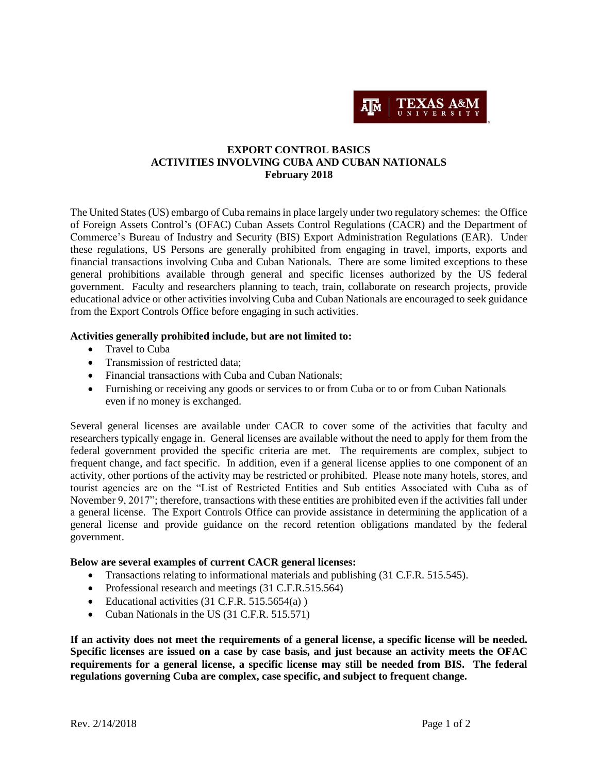

### **EXPORT CONTROL BASICS ACTIVITIES INVOLVING CUBA AND CUBAN NATIONALS February 2018**

The United States (US) embargo of Cuba remains in place largely under two regulatory schemes: the Office of Foreign Assets Control's (OFAC) Cuban Assets Control Regulations (CACR) and the Department of Commerce's Bureau of Industry and Security (BIS) Export Administration Regulations (EAR). Under these regulations, US Persons are generally prohibited from engaging in travel, imports, exports and financial transactions involving Cuba and Cuban Nationals. There are some limited exceptions to these general prohibitions available through general and specific licenses authorized by the US federal government. Faculty and researchers planning to teach, train, collaborate on research projects, provide educational advice or other activities involving Cuba and Cuban Nationals are encouraged to seek guidance from the Export Controls Office before engaging in such activities.

#### **Activities generally prohibited include, but are not limited to:**

- Travel to Cuba
- Transmission of restricted data:
- Financial transactions with Cuba and Cuban Nationals;
- Furnishing or receiving any goods or services to or from Cuba or to or from Cuban Nationals even if no money is exchanged.

Several general licenses are available under CACR to cover some of the activities that faculty and researchers typically engage in. General licenses are available without the need to apply for them from the federal government provided the specific criteria are met. The requirements are complex, subject to frequent change, and fact specific. In addition, even if a general license applies to one component of an activity, other portions of the activity may be restricted or prohibited. Please note many hotels, stores, and tourist agencies are on the "List of Restricted Entities and Sub entities Associated with Cuba as of November 9, 2017"; therefore, transactions with these entities are prohibited even if the activities fall under a general license. The Export Controls Office can provide assistance in determining the application of a general license and provide guidance on the record retention obligations mandated by the federal government.

#### **Below are several examples of current CACR general licenses:**

- Transactions relating to informational materials and publishing (31 C.F.R. 515.545).
- Professional research and meetings (31 C.F.R.515.564)
- Educational activities  $(31 \text{ C.F.R. } 515.5654(a))$
- Cuban Nationals in the US (31 C.F.R. 515.571)

**If an activity does not meet the requirements of a general license, a specific license will be needed. Specific licenses are issued on a case by case basis, and just because an activity meets the OFAC requirements for a general license, a specific license may still be needed from BIS. The federal regulations governing Cuba are complex, case specific, and subject to frequent change.**